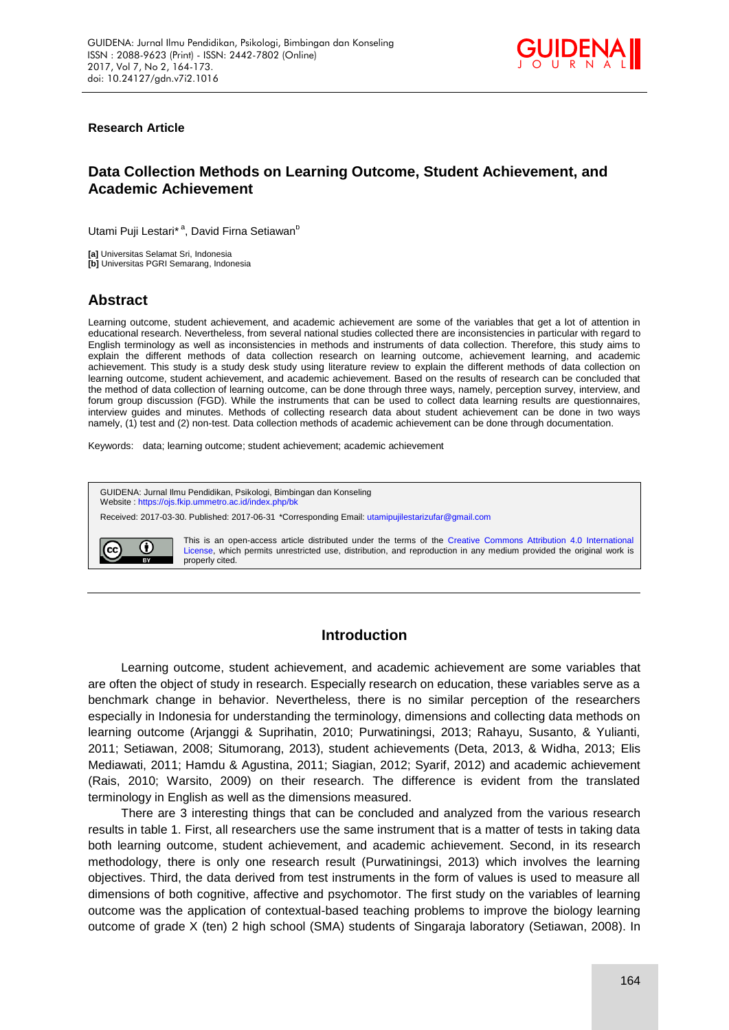

### **Research Article**

# **Data Collection Methods on Learning Outcome, Student Achievement, and Academic Achievement**

Utami Puji Lestari\*<sup>a</sup>, David Firna Setiawan<sup>b</sup>

**[a]** Universitas Selamat Sri, Indonesia **[b]** Universitas PGRI Semarang, Indonesia

# **Abstract**

Learning outcome, student achievement, and academic achievement are some of the variables that get a lot of attention in educational research. Nevertheless, from several national studies collected there are inconsistencies in particular with regard to English terminology as well as inconsistencies in methods and instruments of data collection. Therefore, this study aims to explain the different methods of data collection research on learning outcome, achievement learning, and academic achievement. This study is a study desk study using literature review to explain the different methods of data collection on learning outcome, student achievement, and academic achievement. Based on the results of research can be concluded that the method of data collection of learning outcome, can be done through three ways, namely, perception survey, interview, and forum group discussion (FGD). While the instruments that can be used to collect data learning results are questionnaires, interview guides and minutes. Methods of collecting research data about student achievement can be done in two ways namely, (1) test and (2) non-test. Data collection methods of academic achievement can be done through documentation.

Keywords: data; learning outcome; student achievement; academic achievement

GUIDENA: Jurnal Ilmu Pendidikan, Psikologi, Bimbingan dan Konseling Website [: https://ojs.fkip.ummetro.ac.id/index.php/bk](https://ojs.fkip.ummetro.ac.id/index.php/bk) Received: 2017-03-30. Published: 2017-06-31 \*Corresponding Email[: utamipujilestarizufar@gmail.com](mailto:utamipujilestarizufar@gmail.com)



This is an open-access article distributed under the terms of the [Creative Commons Attribution 4.0 International](http://creativecommons.org/licenses/by/4.0/)  [License,](http://creativecommons.org/licenses/by/4.0/) which permits unrestricted use, distribution, and reproduction in any medium provided the original work is properly cited.

# **Introduction**

Learning outcome, student achievement, and academic achievement are some variables that are often the object of study in research. Especially research on education, these variables serve as a benchmark change in behavior. Nevertheless, there is no similar perception of the researchers especially in Indonesia for understanding the terminology, dimensions and collecting data methods on learning outcome (Arjanggi & Suprihatin, 2010; Purwatiningsi, 2013; Rahayu, Susanto, & Yulianti, 2011; Setiawan, 2008; Situmorang, 2013), student achievements (Deta, 2013, & Widha, 2013; Elis Mediawati, 2011; Hamdu & Agustina, 2011; Siagian, 2012; Syarif, 2012) and academic achievement (Rais, 2010; Warsito, 2009) on their research. The difference is evident from the translated terminology in English as well as the dimensions measured.

There are 3 interesting things that can be concluded and analyzed from the various research results in table 1. First, all researchers use the same instrument that is a matter of tests in taking data both learning outcome, student achievement, and academic achievement. Second, in its research methodology, there is only one research result (Purwatiningsi, 2013) which involves the learning objectives. Third, the data derived from test instruments in the form of values is used to measure all dimensions of both cognitive, affective and psychomotor. The first study on the variables of learning outcome was the application of contextual-based teaching problems to improve the biology learning outcome of grade X (ten) 2 high school (SMA) students of Singaraja laboratory (Setiawan, 2008). In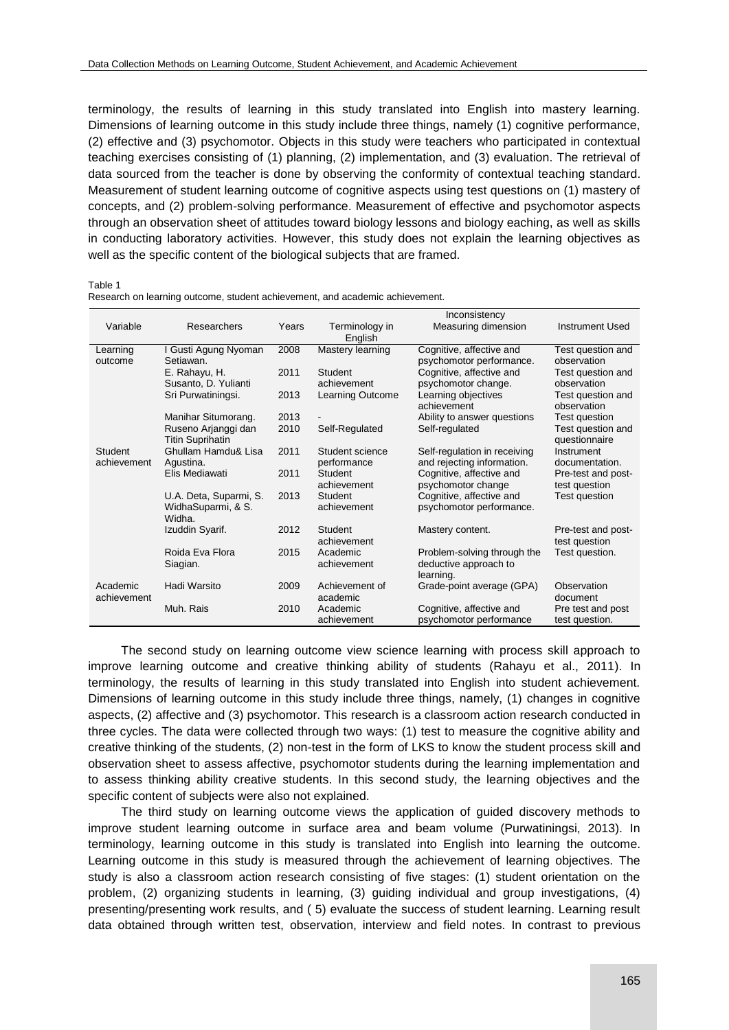terminology, the results of learning in this study translated into English into mastery learning. Dimensions of learning outcome in this study include three things, namely (1) cognitive performance, (2) effective and (3) psychomotor. Objects in this study were teachers who participated in contextual teaching exercises consisting of (1) planning, (2) implementation, and (3) evaluation. The retrieval of data sourced from the teacher is done by observing the conformity of contextual teaching standard. Measurement of student learning outcome of cognitive aspects using test questions on (1) mastery of concepts, and (2) problem-solving performance. Measurement of effective and psychomotor aspects through an observation sheet of attitudes toward biology lessons and biology eaching, as well as skills in conducting laboratory activities. However, this study does not explain the learning objectives as well as the specific content of the biological subjects that are framed.

#### Table 1

|  | Research on learning outcome, student achievement, and academic achievement. |  |
|--|------------------------------------------------------------------------------|--|
|  |                                                                              |  |

|                | Inconsistency                |       |                  |                              |                    |  |
|----------------|------------------------------|-------|------------------|------------------------------|--------------------|--|
| Variable       | Researchers                  | Years | Terminology in   | Measuring dimension          | Instrument Used    |  |
|                |                              |       | English          |                              |                    |  |
| Learning       | I Gusti Agung Nyoman         | 2008  | Mastery learning | Cognitive, affective and     | Test question and  |  |
| outcome        | Setiawan.                    |       |                  | psychomotor performance.     | observation        |  |
|                | E. Rahayu, H.                | 2011  | Student          | Cognitive, affective and     | Test question and  |  |
|                | Susanto, D. Yulianti         |       | achievement      | psychomotor change.          | observation        |  |
|                | Sri Purwatiningsi.           | 2013  | Learning Outcome | Learning objectives          | Test question and  |  |
|                |                              |       |                  | achievement                  | observation        |  |
|                | Manihar Situmorang.          | 2013  |                  | Ability to answer questions  | Test question      |  |
|                | Ruseno Arjanggi dan          | 2010  | Self-Regulated   | Self-regulated               | Test question and  |  |
|                | <b>Titin Suprihatin</b>      |       |                  |                              | questionnaire      |  |
| <b>Student</b> | Ghullam Hamdu& Lisa          | 2011  | Student science  | Self-regulation in receiving | Instrument         |  |
| achievement    | Agustina.                    |       | performance      | and rejecting information.   | documentation.     |  |
|                | Elis Mediawati               | 2011  | Student          | Cognitive, affective and     | Pre-test and post- |  |
|                |                              |       | achievement      | psychomotor change           | test question      |  |
|                | U.A. Deta, Suparmi, S.       | 2013  | Student          | Cognitive, affective and     | Test question      |  |
|                | WidhaSuparmi, & S.<br>Widha. |       | achievement      | psychomotor performance.     |                    |  |
|                | Izuddin Syarif.              | 2012  | Student          | Mastery content.             | Pre-test and post- |  |
|                |                              |       | achievement      |                              | test question      |  |
|                | Roida Eva Elora              | 2015  | Academic         | Problem-solving through the  | Test question.     |  |
|                | Siagian.                     |       | achievement      | deductive approach to        |                    |  |
|                |                              |       |                  | learning.                    |                    |  |
| Academic       | Hadi Warsito                 | 2009  | Achievement of   | Grade-point average (GPA)    | Observation        |  |
| achievement    |                              |       | academic         |                              | document           |  |
|                | Muh. Rais                    | 2010  | Academic         | Cognitive, affective and     | Pre test and post  |  |
|                |                              |       | achievement      | psychomotor performance      | test question.     |  |

The second study on learning outcome view science learning with process skill approach to improve learning outcome and creative thinking ability of students (Rahayu et al., 2011). In terminology, the results of learning in this study translated into English into student achievement. Dimensions of learning outcome in this study include three things, namely, (1) changes in cognitive aspects, (2) affective and (3) psychomotor. This research is a classroom action research conducted in three cycles. The data were collected through two ways: (1) test to measure the cognitive ability and creative thinking of the students, (2) non-test in the form of LKS to know the student process skill and observation sheet to assess affective, psychomotor students during the learning implementation and to assess thinking ability creative students. In this second study, the learning objectives and the specific content of subjects were also not explained.

The third study on learning outcome views the application of guided discovery methods to improve student learning outcome in surface area and beam volume (Purwatiningsi, 2013). In terminology, learning outcome in this study is translated into English into learning the outcome. Learning outcome in this study is measured through the achievement of learning objectives. The study is also a classroom action research consisting of five stages: (1) student orientation on the problem, (2) organizing students in learning, (3) guiding individual and group investigations, (4) presenting/presenting work results, and ( 5) evaluate the success of student learning. Learning result data obtained through written test, observation, interview and field notes. In contrast to previous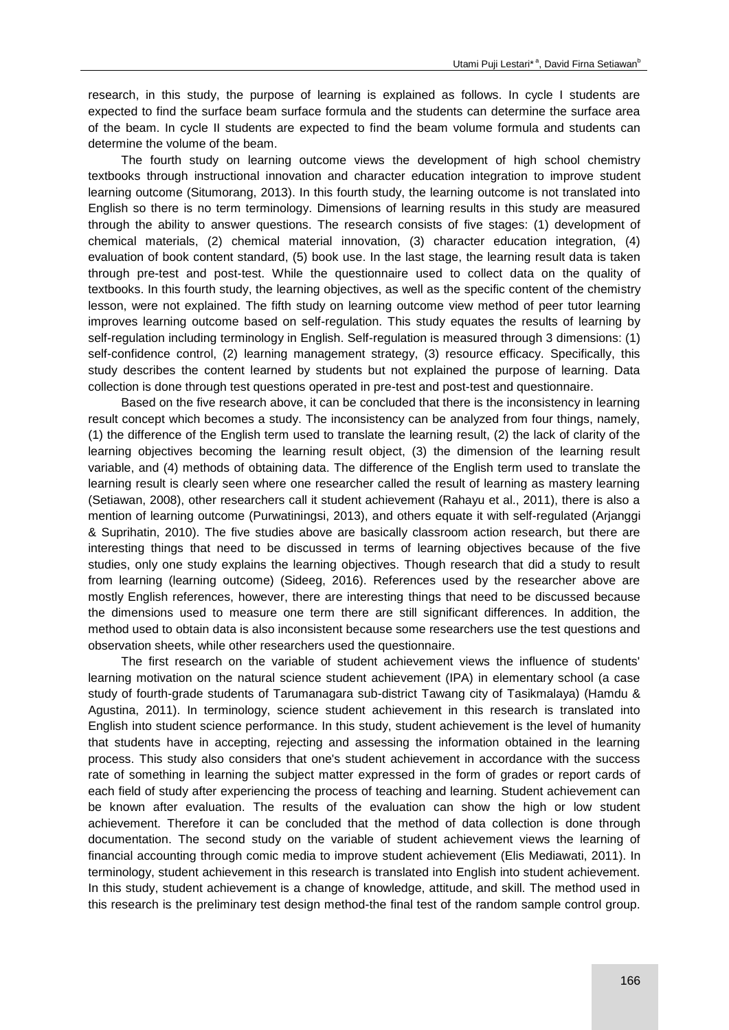research, in this study, the purpose of learning is explained as follows. In cycle I students are expected to find the surface beam surface formula and the students can determine the surface area of the beam. In cycle II students are expected to find the beam volume formula and students can determine the volume of the beam.

The fourth study on learning outcome views the development of high school chemistry textbooks through instructional innovation and character education integration to improve student learning outcome (Situmorang, 2013). In this fourth study, the learning outcome is not translated into English so there is no term terminology. Dimensions of learning results in this study are measured through the ability to answer questions. The research consists of five stages: (1) development of chemical materials, (2) chemical material innovation, (3) character education integration, (4) evaluation of book content standard, (5) book use. In the last stage, the learning result data is taken through pre-test and post-test. While the questionnaire used to collect data on the quality of textbooks. In this fourth study, the learning objectives, as well as the specific content of the chemistry lesson, were not explained. The fifth study on learning outcome view method of peer tutor learning improves learning outcome based on self-regulation. This study equates the results of learning by self-regulation including terminology in English. Self-regulation is measured through 3 dimensions: (1) self-confidence control, (2) learning management strategy, (3) resource efficacy. Specifically, this study describes the content learned by students but not explained the purpose of learning. Data collection is done through test questions operated in pre-test and post-test and questionnaire.

Based on the five research above, it can be concluded that there is the inconsistency in learning result concept which becomes a study. The inconsistency can be analyzed from four things, namely, (1) the difference of the English term used to translate the learning result, (2) the lack of clarity of the learning objectives becoming the learning result object, (3) the dimension of the learning result variable, and (4) methods of obtaining data. The difference of the English term used to translate the learning result is clearly seen where one researcher called the result of learning as mastery learning (Setiawan, 2008), other researchers call it student achievement (Rahayu et al., 2011), there is also a mention of learning outcome (Purwatiningsi, 2013), and others equate it with self-regulated (Arjanggi & Suprihatin, 2010). The five studies above are basically classroom action research, but there are interesting things that need to be discussed in terms of learning objectives because of the five studies, only one study explains the learning objectives. Though research that did a study to result from learning (learning outcome) (Sideeg, 2016). References used by the researcher above are mostly English references, however, there are interesting things that need to be discussed because the dimensions used to measure one term there are still significant differences. In addition, the method used to obtain data is also inconsistent because some researchers use the test questions and observation sheets, while other researchers used the questionnaire.

The first research on the variable of student achievement views the influence of students' learning motivation on the natural science student achievement (IPA) in elementary school (a case study of fourth-grade students of Tarumanagara sub-district Tawang city of Tasikmalaya) (Hamdu & Agustina, 2011). In terminology, science student achievement in this research is translated into English into student science performance. In this study, student achievement is the level of humanity that students have in accepting, rejecting and assessing the information obtained in the learning process. This study also considers that one's student achievement in accordance with the success rate of something in learning the subject matter expressed in the form of grades or report cards of each field of study after experiencing the process of teaching and learning. Student achievement can be known after evaluation. The results of the evaluation can show the high or low student achievement. Therefore it can be concluded that the method of data collection is done through documentation. The second study on the variable of student achievement views the learning of financial accounting through comic media to improve student achievement (Elis Mediawati, 2011). In terminology, student achievement in this research is translated into English into student achievement. In this study, student achievement is a change of knowledge, attitude, and skill. The method used in this research is the preliminary test design method-the final test of the random sample control group.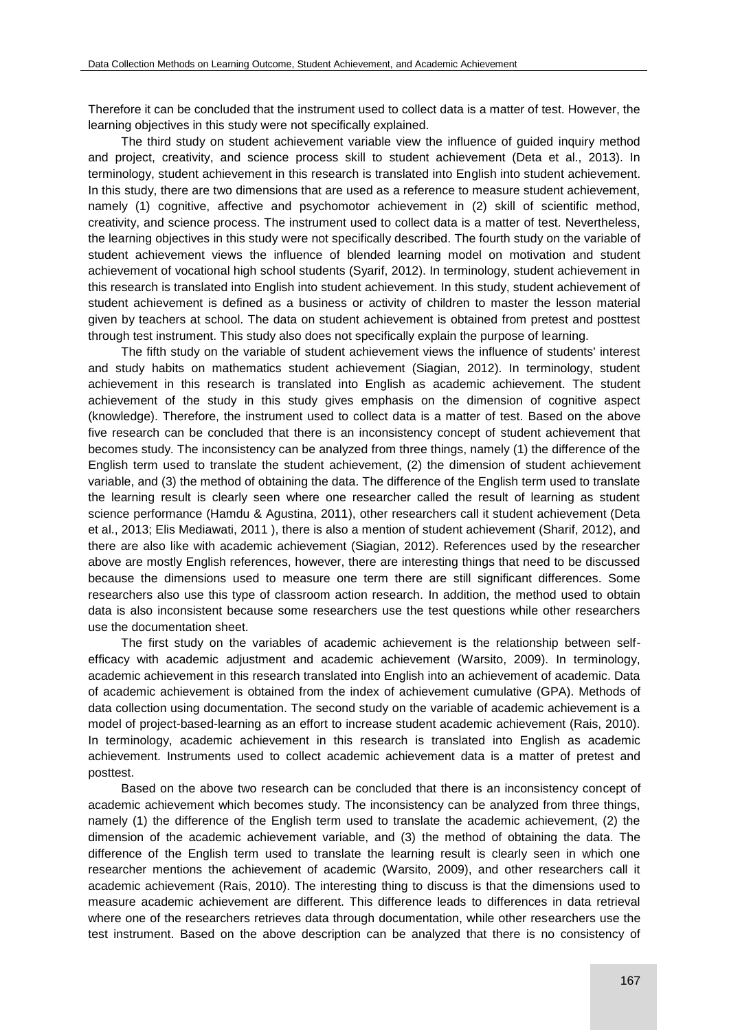Therefore it can be concluded that the instrument used to collect data is a matter of test. However, the learning objectives in this study were not specifically explained.

The third study on student achievement variable view the influence of guided inquiry method and project, creativity, and science process skill to student achievement (Deta et al., 2013). In terminology, student achievement in this research is translated into English into student achievement. In this study, there are two dimensions that are used as a reference to measure student achievement, namely (1) cognitive, affective and psychomotor achievement in (2) skill of scientific method, creativity, and science process. The instrument used to collect data is a matter of test. Nevertheless, the learning objectives in this study were not specifically described. The fourth study on the variable of student achievement views the influence of blended learning model on motivation and student achievement of vocational high school students (Syarif, 2012). In terminology, student achievement in this research is translated into English into student achievement. In this study, student achievement of student achievement is defined as a business or activity of children to master the lesson material given by teachers at school. The data on student achievement is obtained from pretest and posttest through test instrument. This study also does not specifically explain the purpose of learning.

The fifth study on the variable of student achievement views the influence of students' interest and study habits on mathematics student achievement (Siagian, 2012). In terminology, student achievement in this research is translated into English as academic achievement. The student achievement of the study in this study gives emphasis on the dimension of cognitive aspect (knowledge). Therefore, the instrument used to collect data is a matter of test. Based on the above five research can be concluded that there is an inconsistency concept of student achievement that becomes study. The inconsistency can be analyzed from three things, namely (1) the difference of the English term used to translate the student achievement, (2) the dimension of student achievement variable, and (3) the method of obtaining the data. The difference of the English term used to translate the learning result is clearly seen where one researcher called the result of learning as student science performance (Hamdu & Agustina, 2011), other researchers call it student achievement (Deta et al., 2013; Elis Mediawati, 2011 ), there is also a mention of student achievement (Sharif, 2012), and there are also like with academic achievement (Siagian, 2012). References used by the researcher above are mostly English references, however, there are interesting things that need to be discussed because the dimensions used to measure one term there are still significant differences. Some researchers also use this type of classroom action research. In addition, the method used to obtain data is also inconsistent because some researchers use the test questions while other researchers use the documentation sheet.

The first study on the variables of academic achievement is the relationship between selfefficacy with academic adjustment and academic achievement (Warsito, 2009). In terminology, academic achievement in this research translated into English into an achievement of academic. Data of academic achievement is obtained from the index of achievement cumulative (GPA). Methods of data collection using documentation. The second study on the variable of academic achievement is a model of project-based-learning as an effort to increase student academic achievement (Rais, 2010). In terminology, academic achievement in this research is translated into English as academic achievement. Instruments used to collect academic achievement data is a matter of pretest and posttest.

Based on the above two research can be concluded that there is an inconsistency concept of academic achievement which becomes study. The inconsistency can be analyzed from three things, namely (1) the difference of the English term used to translate the academic achievement, (2) the dimension of the academic achievement variable, and (3) the method of obtaining the data. The difference of the English term used to translate the learning result is clearly seen in which one researcher mentions the achievement of academic (Warsito, 2009), and other researchers call it academic achievement (Rais, 2010). The interesting thing to discuss is that the dimensions used to measure academic achievement are different. This difference leads to differences in data retrieval where one of the researchers retrieves data through documentation, while other researchers use the test instrument. Based on the above description can be analyzed that there is no consistency of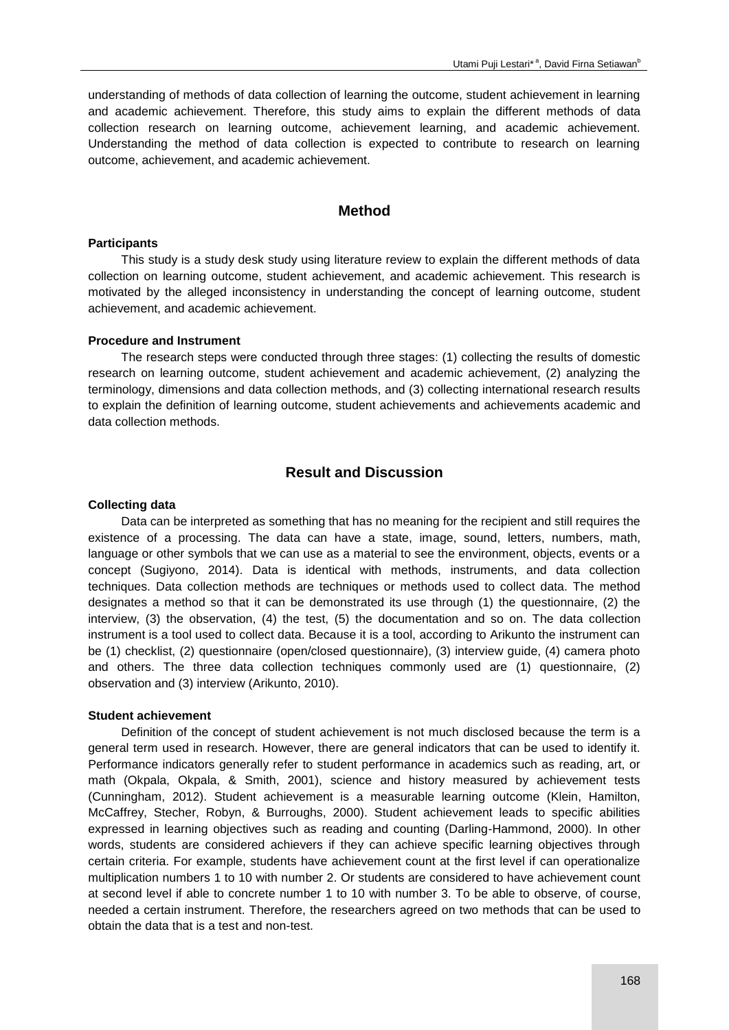understanding of methods of data collection of learning the outcome, student achievement in learning and academic achievement. Therefore, this study aims to explain the different methods of data collection research on learning outcome, achievement learning, and academic achievement. Understanding the method of data collection is expected to contribute to research on learning outcome, achievement, and academic achievement.

### **Method**

### **Participants**

This study is a study desk study using literature review to explain the different methods of data collection on learning outcome, student achievement, and academic achievement. This research is motivated by the alleged inconsistency in understanding the concept of learning outcome, student achievement, and academic achievement.

### **Procedure and Instrument**

The research steps were conducted through three stages: (1) collecting the results of domestic research on learning outcome, student achievement and academic achievement, (2) analyzing the terminology, dimensions and data collection methods, and (3) collecting international research results to explain the definition of learning outcome, student achievements and achievements academic and data collection methods.

## **Result and Discussion**

### **Collecting data**

Data can be interpreted as something that has no meaning for the recipient and still requires the existence of a processing. The data can have a state, image, sound, letters, numbers, math, language or other symbols that we can use as a material to see the environment, objects, events or a concept (Sugiyono, 2014). Data is identical with methods, instruments, and data collection techniques. Data collection methods are techniques or methods used to collect data. The method designates a method so that it can be demonstrated its use through (1) the questionnaire, (2) the interview, (3) the observation, (4) the test, (5) the documentation and so on. The data collection instrument is a tool used to collect data. Because it is a tool, according to Arikunto the instrument can be (1) checklist, (2) questionnaire (open/closed questionnaire), (3) interview guide, (4) camera photo and others. The three data collection techniques commonly used are (1) questionnaire, (2) observation and (3) interview (Arikunto, 2010).

### **Student achievement**

Definition of the concept of student achievement is not much disclosed because the term is a general term used in research. However, there are general indicators that can be used to identify it. Performance indicators generally refer to student performance in academics such as reading, art, or math (Okpala, Okpala, & Smith, 2001), science and history measured by achievement tests (Cunningham, 2012). Student achievement is a measurable learning outcome (Klein, Hamilton, McCaffrey, Stecher, Robyn, & Burroughs, 2000). Student achievement leads to specific abilities expressed in learning objectives such as reading and counting (Darling-Hammond, 2000). In other words, students are considered achievers if they can achieve specific learning objectives through certain criteria. For example, students have achievement count at the first level if can operationalize multiplication numbers 1 to 10 with number 2. Or students are considered to have achievement count at second level if able to concrete number 1 to 10 with number 3. To be able to observe, of course, needed a certain instrument. Therefore, the researchers agreed on two methods that can be used to obtain the data that is a test and non-test.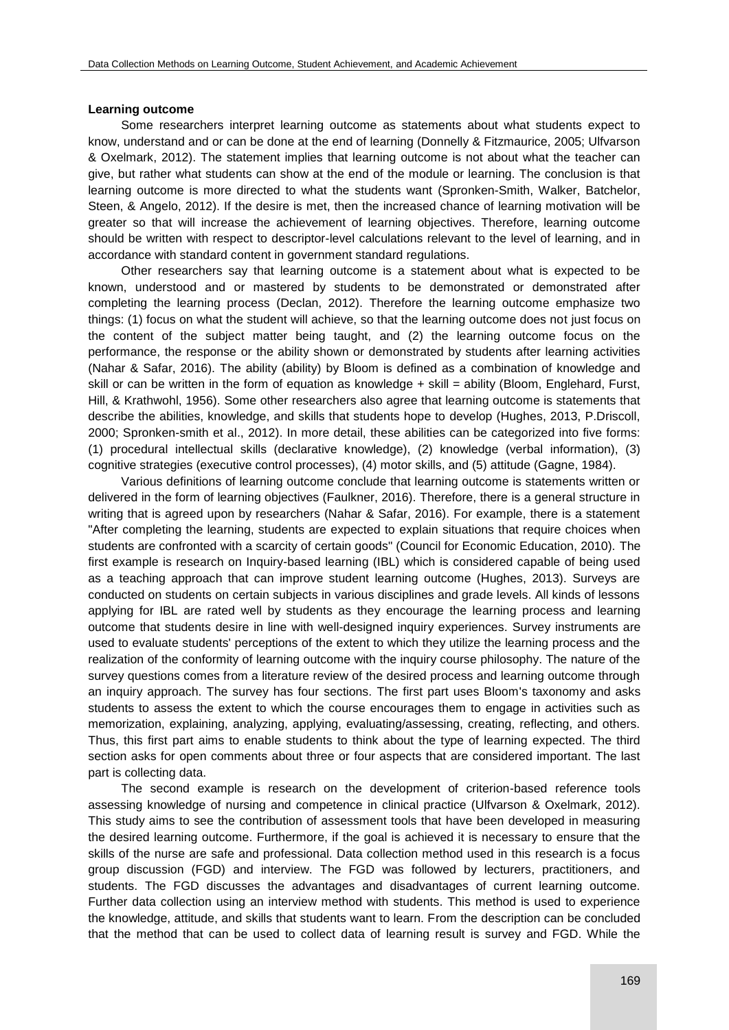#### **Learning outcome**

Some researchers interpret learning outcome as statements about what students expect to know, understand and or can be done at the end of learning (Donnelly & Fitzmaurice, 2005; Ulfvarson & Oxelmark, 2012). The statement implies that learning outcome is not about what the teacher can give, but rather what students can show at the end of the module or learning. The conclusion is that learning outcome is more directed to what the students want (Spronken-Smith, Walker, Batchelor, Steen, & Angelo, 2012). If the desire is met, then the increased chance of learning motivation will be greater so that will increase the achievement of learning objectives. Therefore, learning outcome should be written with respect to descriptor-level calculations relevant to the level of learning, and in accordance with standard content in government standard regulations.

Other researchers say that learning outcome is a statement about what is expected to be known, understood and or mastered by students to be demonstrated or demonstrated after completing the learning process (Declan, 2012). Therefore the learning outcome emphasize two things: (1) focus on what the student will achieve, so that the learning outcome does not just focus on the content of the subject matter being taught, and (2) the learning outcome focus on the performance, the response or the ability shown or demonstrated by students after learning activities (Nahar & Safar, 2016). The ability (ability) by Bloom is defined as a combination of knowledge and skill or can be written in the form of equation as knowledge  $+$  skill = ability (Bloom, Englehard, Furst, Hill, & Krathwohl, 1956). Some other researchers also agree that learning outcome is statements that describe the abilities, knowledge, and skills that students hope to develop (Hughes, 2013, P.Driscoll, 2000; Spronken-smith et al., 2012). In more detail, these abilities can be categorized into five forms: (1) procedural intellectual skills (declarative knowledge), (2) knowledge (verbal information), (3) cognitive strategies (executive control processes), (4) motor skills, and (5) attitude (Gagne, 1984).

Various definitions of learning outcome conclude that learning outcome is statements written or delivered in the form of learning objectives (Faulkner, 2016). Therefore, there is a general structure in writing that is agreed upon by researchers (Nahar & Safar, 2016). For example, there is a statement "After completing the learning, students are expected to explain situations that require choices when students are confronted with a scarcity of certain goods" (Council for Economic Education, 2010). The first example is research on Inquiry-based learning (IBL) which is considered capable of being used as a teaching approach that can improve student learning outcome (Hughes, 2013). Surveys are conducted on students on certain subjects in various disciplines and grade levels. All kinds of lessons applying for IBL are rated well by students as they encourage the learning process and learning outcome that students desire in line with well-designed inquiry experiences. Survey instruments are used to evaluate students' perceptions of the extent to which they utilize the learning process and the realization of the conformity of learning outcome with the inquiry course philosophy. The nature of the survey questions comes from a literature review of the desired process and learning outcome through an inquiry approach. The survey has four sections. The first part uses Bloom's taxonomy and asks students to assess the extent to which the course encourages them to engage in activities such as memorization, explaining, analyzing, applying, evaluating/assessing, creating, reflecting, and others. Thus, this first part aims to enable students to think about the type of learning expected. The third section asks for open comments about three or four aspects that are considered important. The last part is collecting data.

The second example is research on the development of criterion-based reference tools assessing knowledge of nursing and competence in clinical practice (Ulfvarson & Oxelmark, 2012). This study aims to see the contribution of assessment tools that have been developed in measuring the desired learning outcome. Furthermore, if the goal is achieved it is necessary to ensure that the skills of the nurse are safe and professional. Data collection method used in this research is a focus group discussion (FGD) and interview. The FGD was followed by lecturers, practitioners, and students. The FGD discusses the advantages and disadvantages of current learning outcome. Further data collection using an interview method with students. This method is used to experience the knowledge, attitude, and skills that students want to learn. From the description can be concluded that the method that can be used to collect data of learning result is survey and FGD. While the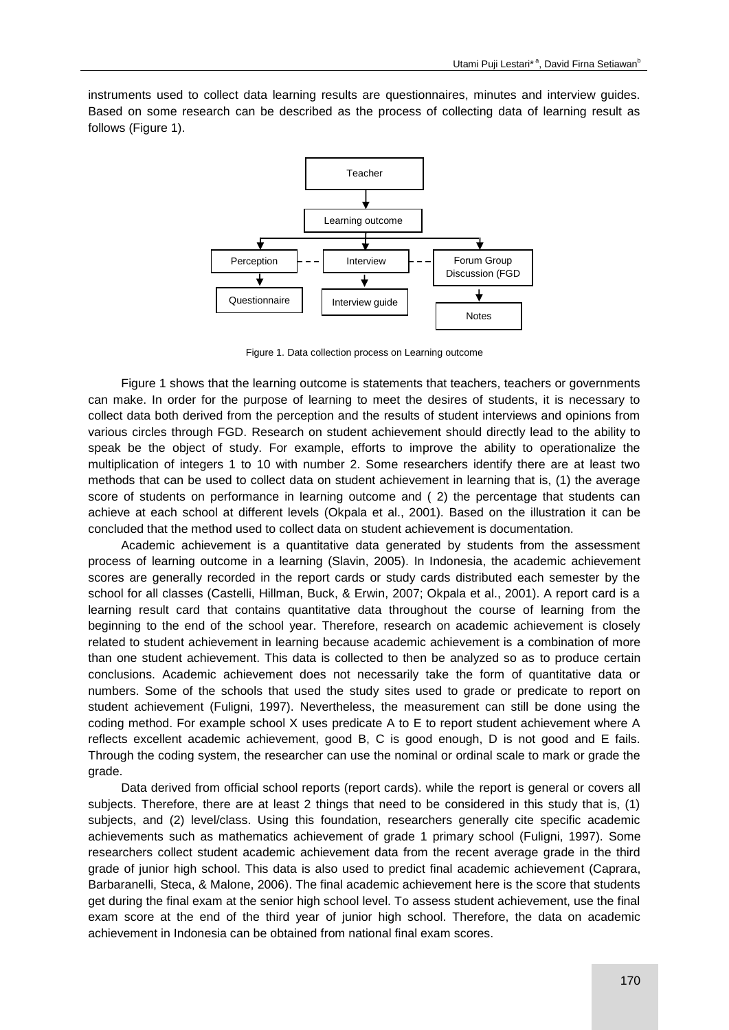instruments used to collect data learning results are questionnaires, minutes and interview guides. Based on some research can be described as the process of collecting data of learning result as follows (Figure 1).



Figure 1. Data collection process on Learning outcome

Figure 1 shows that the learning outcome is statements that teachers, teachers or governments can make. In order for the purpose of learning to meet the desires of students, it is necessary to collect data both derived from the perception and the results of student interviews and opinions from various circles through FGD. Research on student achievement should directly lead to the ability to speak be the object of study. For example, efforts to improve the ability to operationalize the multiplication of integers 1 to 10 with number 2. Some researchers identify there are at least two methods that can be used to collect data on student achievement in learning that is, (1) the average score of students on performance in learning outcome and (2) the percentage that students can achieve at each school at different levels (Okpala et al., 2001). Based on the illustration it can be concluded that the method used to collect data on student achievement is documentation.

Academic achievement is a quantitative data generated by students from the assessment process of learning outcome in a learning (Slavin, 2005). In Indonesia, the academic achievement scores are generally recorded in the report cards or study cards distributed each semester by the school for all classes (Castelli, Hillman, Buck, & Erwin, 2007; Okpala et al., 2001). A report card is a learning result card that contains quantitative data throughout the course of learning from the beginning to the end of the school year. Therefore, research on academic achievement is closely related to student achievement in learning because academic achievement is a combination of more than one student achievement. This data is collected to then be analyzed so as to produce certain conclusions. Academic achievement does not necessarily take the form of quantitative data or numbers. Some of the schools that used the study sites used to grade or predicate to report on student achievement (Fuligni, 1997). Nevertheless, the measurement can still be done using the coding method. For example school X uses predicate A to E to report student achievement where A reflects excellent academic achievement, good B, C is good enough, D is not good and E fails. Through the coding system, the researcher can use the nominal or ordinal scale to mark or grade the grade.

Data derived from official school reports (report cards). while the report is general or covers all subjects. Therefore, there are at least 2 things that need to be considered in this study that is, (1) subjects, and (2) level/class. Using this foundation, researchers generally cite specific academic achievements such as mathematics achievement of grade 1 primary school (Fuligni, 1997). Some researchers collect student academic achievement data from the recent average grade in the third grade of junior high school. This data is also used to predict final academic achievement (Caprara, Barbaranelli, Steca, & Malone, 2006). The final academic achievement here is the score that students get during the final exam at the senior high school level. To assess student achievement, use the final exam score at the end of the third year of junior high school. Therefore, the data on academic achievement in Indonesia can be obtained from national final exam scores.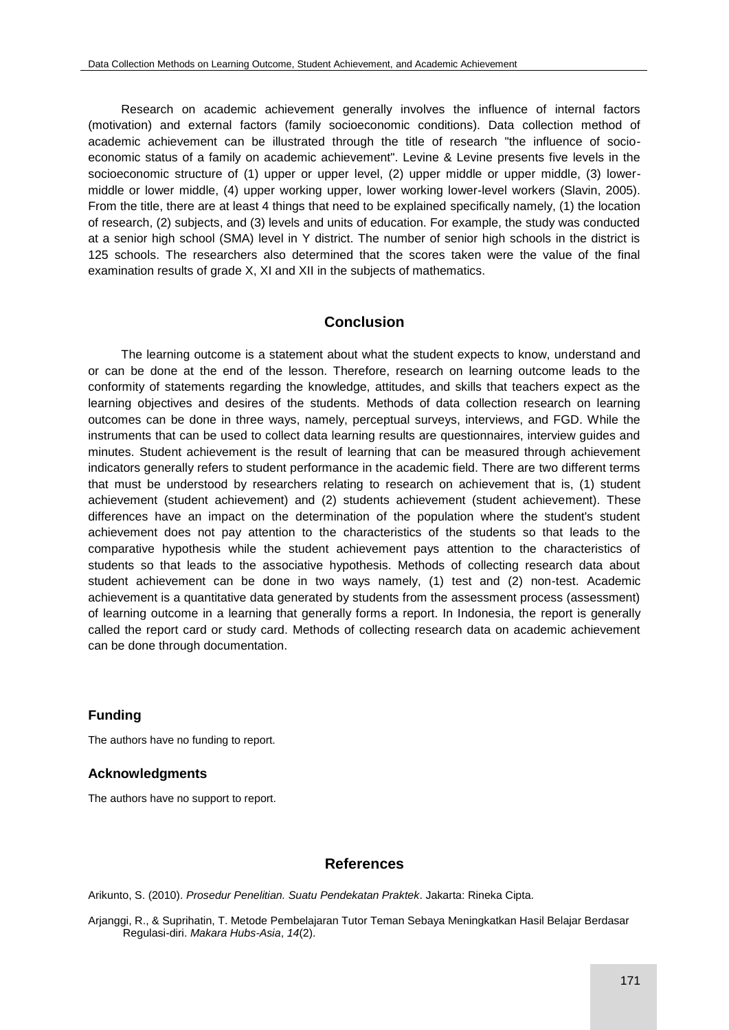Research on academic achievement generally involves the influence of internal factors (motivation) and external factors (family socioeconomic conditions). Data collection method of academic achievement can be illustrated through the title of research "the influence of socioeconomic status of a family on academic achievement". Levine & Levine presents five levels in the socioeconomic structure of (1) upper or upper level, (2) upper middle or upper middle, (3) lowermiddle or lower middle, (4) upper working upper, lower working lower-level workers (Slavin, 2005). From the title, there are at least 4 things that need to be explained specifically namely, (1) the location of research, (2) subjects, and (3) levels and units of education. For example, the study was conducted at a senior high school (SMA) level in Y district. The number of senior high schools in the district is 125 schools. The researchers also determined that the scores taken were the value of the final examination results of grade X, XI and XII in the subjects of mathematics.

### **Conclusion**

The learning outcome is a statement about what the student expects to know, understand and or can be done at the end of the lesson. Therefore, research on learning outcome leads to the conformity of statements regarding the knowledge, attitudes, and skills that teachers expect as the learning objectives and desires of the students. Methods of data collection research on learning outcomes can be done in three ways, namely, perceptual surveys, interviews, and FGD. While the instruments that can be used to collect data learning results are questionnaires, interview guides and minutes. Student achievement is the result of learning that can be measured through achievement indicators generally refers to student performance in the academic field. There are two different terms that must be understood by researchers relating to research on achievement that is, (1) student achievement (student achievement) and (2) students achievement (student achievement). These differences have an impact on the determination of the population where the student's student achievement does not pay attention to the characteristics of the students so that leads to the comparative hypothesis while the student achievement pays attention to the characteristics of students so that leads to the associative hypothesis. Methods of collecting research data about student achievement can be done in two ways namely, (1) test and (2) non-test. Academic achievement is a quantitative data generated by students from the assessment process (assessment) of learning outcome in a learning that generally forms a report. In Indonesia, the report is generally called the report card or study card. Methods of collecting research data on academic achievement can be done through documentation.

### **Funding**

The authors have no funding to report.

### **Acknowledgments**

The authors have no support to report.

## **References**

Arikunto, S. (2010). *Prosedur Penelitian. Suatu Pendekatan Praktek*. Jakarta: Rineka Cipta.

Arjanggi, R., & Suprihatin, T. Metode Pembelajaran Tutor Teman Sebaya Meningkatkan Hasil Belajar Berdasar Regulasi-diri. *Makara Hubs-Asia*, *14*(2).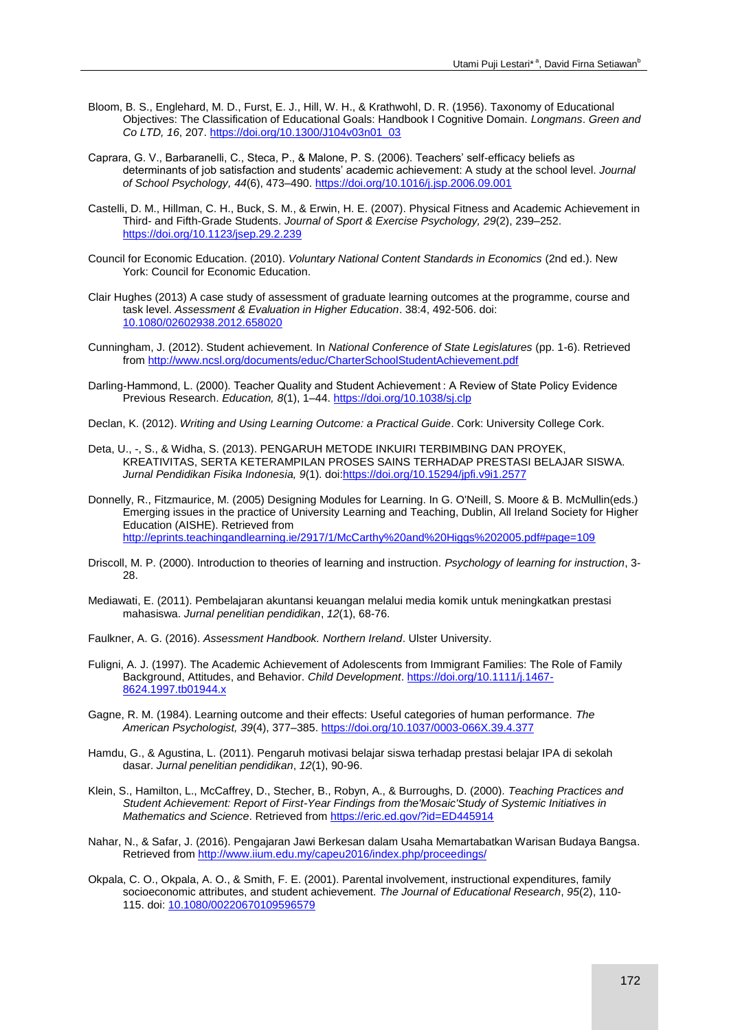- Bloom, B. S., Englehard, M. D., Furst, E. J., Hill, W. H., & Krathwohl, D. R. (1956). Taxonomy of Educational Objectives: The Classification of Educational Goals: Handbook I Cognitive Domain. *Longmans*. *Green and Co LTD, 16*, 207. [https://doi.org/10.1300/J104v03n01\\_03](https://doi.org/10.1300/J104v03n01_03)
- Caprara, G. V., Barbaranelli, C., Steca, P., & Malone, P. S. (2006). Teachers' self-efficacy beliefs as determinants of job satisfaction and students' academic achievement: A study at the school level. *Journal of School Psychology, 44*(6), 473–490[. https://doi.org/10.1016/j.jsp.2006.09.001](https://doi.org/10.1016/j.jsp.2006.09.001)
- Castelli, D. M., Hillman, C. H., Buck, S. M., & Erwin, H. E. (2007). Physical Fitness and Academic Achievement in Third- and Fifth-Grade Students. *Journal of Sport & Exercise Psychology, 29*(2), 239–252. <https://doi.org/10.1123/jsep.29.2.239>
- Council for Economic Education. (2010). *Voluntary National Content Standards in Economics* (2nd ed.). New York: Council for Economic Education.
- Clair Hughes (2013) A case study of assessment of graduate learning outcomes at the programme, course and task level. *Assessment & Evaluation in Higher Education*. 38:4, 492-506. doi: [10.1080/02602938.2012.658020](https://doi.org/10.1080/02602938.2012.658020)
- Cunningham, J. (2012). Student achievement. In *National Conference of State Legislatures* (pp. 1-6). Retrieved from <http://www.ncsl.org/documents/educ/CharterSchoolStudentAchievement.pdf>
- Darling-Hammond, L. (2000). Teacher Quality and Student Achievement : A Review of State Policy Evidence Previous Research. *Education, 8*(1), 1–44[. https://doi.org/10.1038/sj.clp](https://doi.org/10.1038/sj.clp)
- Declan, K. (2012). *Writing and Using Learning Outcome: a Practical Guide*. Cork: University College Cork.
- Deta, U., -, S., & Widha, S. (2013). PENGARUH METODE INKUIRI TERBIMBING DAN PROYEK, KREATIVITAS, SERTA KETERAMPILAN PROSES SAINS TERHADAP PRESTASI BELAJAR SISWA. *Jurnal Pendidikan Fisika Indonesia, 9*(1). doi[:https://doi.org/10.15294/jpfi.v9i1.2577](https://doi.org/10.15294/jpfi.v9i1.2577)
- Donnelly, R., Fitzmaurice, M. (2005) Designing Modules for Learning. In G. O'Neill, S. Moore & B. McMullin(eds.) Emerging issues in the practice of University Learning and Teaching, Dublin, All Ireland Society for Higher Education (AISHE). Retrieved from <http://eprints.teachingandlearning.ie/2917/1/McCarthy%20and%20Higgs%202005.pdf#page=109>
- Driscoll, M. P. (2000). Introduction to theories of learning and instruction. *Psychology of learning for instruction*, 3- 28.
- Mediawati, E. (2011). Pembelajaran akuntansi keuangan melalui media komik untuk meningkatkan prestasi mahasiswa. *Jurnal penelitian pendidikan*, *12*(1), 68-76.
- Faulkner, A. G. (2016). *Assessment Handbook. Northern Ireland*. Ulster University.
- Fuligni, A. J. (1997). The Academic Achievement of Adolescents from Immigrant Families: The Role of Family Background, Attitudes, and Behavior. *Child Development*[. https://doi.org/10.1111/j.1467-](https://doi.org/10.1111/j.1467-8624.1997.tb01944.x) [8624.1997.tb01944.x](https://doi.org/10.1111/j.1467-8624.1997.tb01944.x)
- Gagne, R. M. (1984). Learning outcome and their effects: Useful categories of human performance. *The American Psychologist, 39*(4), 377–385[. https://doi.org/10.1037/0003-066X.39.4.377](https://doi.org/10.1037/0003-066X.39.4.377)
- Hamdu, G., & Agustina, L. (2011). Pengaruh motivasi belajar siswa terhadap prestasi belajar IPA di sekolah dasar. *Jurnal penelitian pendidikan*, *12*(1), 90-96.
- Klein, S., Hamilton, L., McCaffrey, D., Stecher, B., Robyn, A., & Burroughs, D. (2000). *Teaching Practices and Student Achievement: Report of First-Year Findings from the'Mosaic'Study of Systemic Initiatives in Mathematics and Science*. Retrieved from <https://eric.ed.gov/?id=ED445914>
- Nahar, N., & Safar, J. (2016). Pengajaran Jawi Berkesan dalam Usaha Memartabatkan Warisan Budaya Bangsa. Retrieved from <http://www.iium.edu.my/capeu2016/index.php/proceedings/>
- Okpala, C. O., Okpala, A. O., & Smith, F. E. (2001). Parental involvement, instructional expenditures, family socioeconomic attributes, and student achievement. *The Journal of Educational Research*, *95*(2), 110- 115. doi[: 10.1080/00220670109596579](https://doi.org/10.1080/00220670109596579)